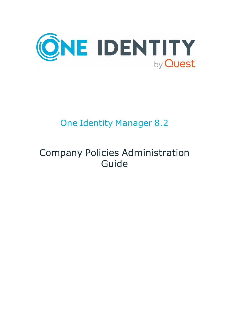

# One Identity Manager 8.2

# Company Policies Administration Guide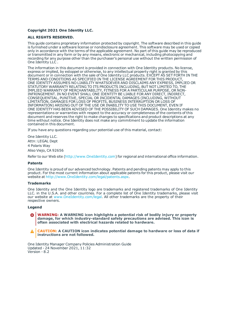#### **Copyright 2021 One Identity LLC.**

#### **ALL RIGHTS RESERVED.**

This guide contains proprietary information protected by copyright. The software described in this guide is furnished under a software license or nondisclosure agreement. This software may be used or copied only in accordance with the terms of the applicable agreement. No part of this guide may be reproduced or transmitted in any form or by any means, electronic or mechanical, including photocopying and recording for any purpose other than the purchaser's personal use without the written permission of One Identity LLC .

The information in this document is provided in connection with One Identity products. No license, express or implied, by estoppel or otherwise, to any intellectual property right is granted by this document or in connection with the sale of One Identity LLC products. EXCEPT AS SET FORTH IN THE TERMS AND CONDITIONS AS SPECIFIED IN THE LICENSE AGREEMENT FOR THIS PRODUCT, ONE IDENTITY ASSUMES NO LIABILITY WHATSOEVER AND DISCLAIMS ANY EXPRESS, IMPLIED OR STATUTORY WARRANTY RELATING TO ITS PRODUCTS INCLUDING, BUT NOT LIMITED TO, THE IMPLIED WARRANTY OF MERCHANTABILITY, FITNESS FOR A PARTICULAR PURPOSE, OR NON-INFRINGEMENT. IN NO EVENT SHALL ONE IDENTITY BE LIABLE FOR ANY DIRECT, INDIRECT, CONSEQUENTIAL, PUNITIVE, SPECIAL OR INCIDENTAL DAMAGES (INCLUDING, WITHOUT LIMITATION, DAMAGES FOR LOSS OF PROFITS, BUSINESS INTERRUPTION OR LOSS OF INFORMATION) ARISING OUT OF THE USE OR INABILITY TO USE THIS DOCUMENT, EVEN IF ONE IDENTITY HAS BEEN ADVISED OF THE POSSIBILITY OF SUCH DAMAGES. One Identity makes no representations or warranties with respect to the accuracy or completeness of the contents of this document and reserves the right to make changes to specifications and product descriptions at any time without notice. One Identity does not make any commitment to update the information contained in this document.

If you have any questions regarding your potential use of this material, contact:

One Identity LLC. Attn: LEGAL Dept 4 Polaris Way Aliso Viejo, CA 92656

Refer to our Web site ([http://www.OneIdentity.com](http://www.oneidentity.com/)) for regional and international office information.

#### **Patents**

One Identity is proud of our advanced technology. Patents and pending patents may apply to this product. For the most current information about applicable patents for this product, please visit our website at [http://www.OneIdentity.com/legal/patents.aspx](http://www.oneidentity.com/legal/patents.aspx).

#### **Trademarks**

One Identity and the One Identity logo are trademarks and registered trademarks of One Identity LLC. in the U.S.A. and other countries. For a complete list of One Identity trademarks, please visit our website at [www.OneIdentity.com/legal](http://www.oneidentity.com/legal). All other trademarks are the property of their respective owners.

#### **Legend**

**WARNING: A WARNING icon highlights a potential risk of bodily injury or property damage, for which industry-standard safety precautions are advised. This icon is often associated with electrical hazards related to hardware.**

**CAUTION: A CAUTION icon indicates potential damage to hardware or loss of data if** A **instructions are not followed.**

One Identity Manager Company Policies Administration Guide Updated - 24 November 2021, 11:32 Version - 8.2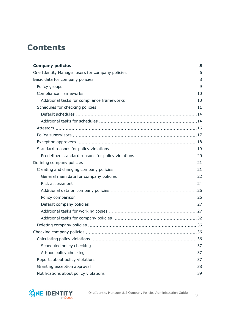# **Contents**

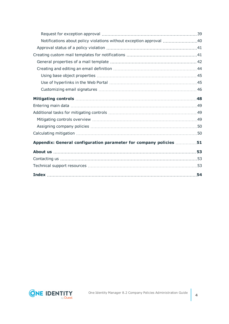| Notifications about policy violations without exception approval 40 |     |
|---------------------------------------------------------------------|-----|
|                                                                     |     |
|                                                                     |     |
|                                                                     |     |
|                                                                     |     |
|                                                                     |     |
|                                                                     |     |
|                                                                     |     |
|                                                                     |     |
|                                                                     |     |
|                                                                     |     |
|                                                                     |     |
|                                                                     |     |
|                                                                     |     |
| Appendix: General configuration parameter for company policies 51   |     |
|                                                                     |     |
|                                                                     |     |
|                                                                     |     |
|                                                                     | .54 |

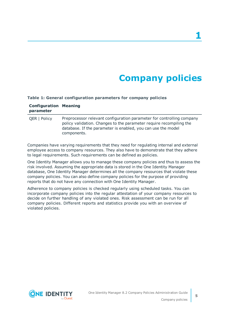# **Company policies**

#### <span id="page-4-0"></span>**Table 1: General configuration parameters for company policies**

| <b>Configuration Meaning</b><br>parameter |                                                                                                                                                                                                                             |
|-------------------------------------------|-----------------------------------------------------------------------------------------------------------------------------------------------------------------------------------------------------------------------------|
| <b>QER   Policy</b>                       | Preprocessor relevant configuration parameter for controlling company<br>policy validation. Changes to the parameter require recompiling the<br>database. If the parameter is enabled, you can use the model<br>components. |

Companies have varying requirements that they need for regulating internal and external employee access to company resources. They also have to demonstrate that they adhere to legal requirements. Such requirements can be defined as policies.

One Identity Manager allows you to manage these company policies and thus to assess the risk involved. Assuming the appropriate data is stored in the One Identity Manager database, One Identity Manager determines all the company resources that violate these company policies. You can also define company policies for the purpose of providing reports that do not have any connection with One Identity Manager.

Adherence to company policies is checked regularly using scheduled tasks. You can incorporate company policies into the regular attestation of your company resources to decide on further handling of any violated ones. Risk assessment can be run for all company policies. Different reports and statistics provide you with an overview of violated policies.

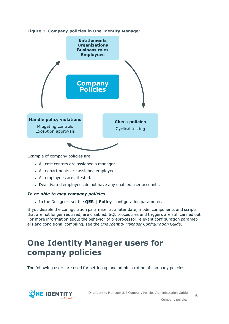



Example of company policies are:

- All cost centers are assigned a manager.
- All departments are assigned employees.
- All employees are attested.
- Deactivated employees do not have any enabled user accounts.

### *To be able to map company policies*

<sup>l</sup> In the Designer, set the **QER | Policy**  configuration parameter.

If you disable the configuration parameter at a later date, model components and scripts that are not longer required, are disabled. SQL procedures and triggers are still carried out. For more information about the behavior of preprocessor relevant configuration parameters and conditional compiling, see the *One Identity Manager Configuration Guide*.

# <span id="page-5-0"></span>**One Identity Manager users for company policies**

The following users are used for setting up and administration of company policies.

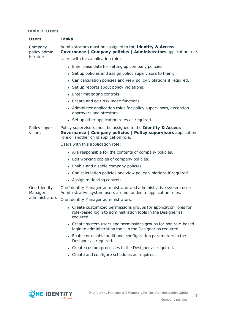#### **Table 2: Users**

| <b>Users</b>             | <b>Tasks</b>                                                                                                                                                              |
|--------------------------|---------------------------------------------------------------------------------------------------------------------------------------------------------------------------|
| Company<br>policy admin- | Administrators must be assigned to the Identity & Access<br>Governance   Company policies   Administrators application role.                                              |
| istrators                | Users with this application role:                                                                                                                                         |
|                          | • Enter base data for setting up company policies.                                                                                                                        |
|                          | • Set up policies and assign policy supervisors to them.                                                                                                                  |
|                          | • Can calculation policies and view policy violations if required.                                                                                                        |
|                          | • Set up reports about policy violations.                                                                                                                                 |
|                          | • Enter mitigating controls.                                                                                                                                              |
|                          | • Create and edit risk index functions.                                                                                                                                   |
|                          | • Administer application roles for policy supervisors, exception<br>approvers and attestors.                                                                              |
|                          | • Set up other application roles as required.                                                                                                                             |
| Policy super-<br>visors  | Policy supervisors must be assigned to the Identity & Access<br>Governance   Company policies   Policy supervisors application<br>role or another child application role. |
|                          | Users with this application role:                                                                                                                                         |
|                          | • Are responsible for the contents of company policies.                                                                                                                   |
|                          | • Edit working copies of company policies.                                                                                                                                |
|                          | • Enable and disable company policies.                                                                                                                                    |
|                          | • Can calculation policies and view policy violations if required.                                                                                                        |
|                          | • Assign mitigating controls.                                                                                                                                             |
| One Identity<br>Manager  | One Identity Manager administrator and administrative system users<br>Administrative system users are not added to application roles.                                     |
| administrators           | One Identity Manager administrators:                                                                                                                                      |
|                          | • Create customized permissions groups for application roles for<br>role-based login to administration tools in the Designer as<br>required.                              |
|                          | • Create system users and permissions groups for non role-based<br>login to administration tools in the Designer as required.                                             |
|                          | • Enable or disable additional configuration parameters in the<br>Designer as required.                                                                                   |
|                          | • Create custom processes in the Designer as required.                                                                                                                    |
|                          | • Create and configure schedules as required.                                                                                                                             |

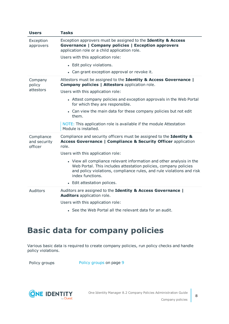| <b>Users</b>                          | <b>Tasks</b>                                                                                                                                                                                                                          |
|---------------------------------------|---------------------------------------------------------------------------------------------------------------------------------------------------------------------------------------------------------------------------------------|
| Exception<br>approvers                | Exception approvers must be assigned to the Identity & Access<br>Governance   Company policies   Exception approvers<br>application role or a child application role.                                                                 |
|                                       | Users with this application role:                                                                                                                                                                                                     |
|                                       | • Edit policy violations.                                                                                                                                                                                                             |
|                                       | • Can grant exception approval or revoke it.                                                                                                                                                                                          |
| Company<br>policy                     | Attestors must be assigned to the Identity & Access Governance  <br><b>Company policies   Attestors application role.</b>                                                                                                             |
| attestors                             | Users with this application role:                                                                                                                                                                                                     |
|                                       | • Attest company policies and exception approvals in the Web Portal<br>for which they are responsible.                                                                                                                                |
|                                       | • Can view the main data for these company policies but not edit<br>them.                                                                                                                                                             |
|                                       | NOTE: This application role is available if the module Attestation<br>Module is installed.                                                                                                                                            |
| Compliance<br>and security<br>officer | Compliance and security officers must be assigned to the Identity &<br><b>Access Governance   Compliance &amp; Security Officer application</b><br>role.                                                                              |
|                                       | Users with this application role:                                                                                                                                                                                                     |
|                                       | • View all compliance relevant information and other analysis in the<br>Web Portal. This includes attestation policies, company policies<br>and policy violations, compliance rules, and rule violations and risk<br>index functions. |
|                                       | • Edit attestation polices.                                                                                                                                                                                                           |
| Auditors                              | Auditors are assigned to the Identity & Access Governance  <br>Auditors application role.                                                                                                                                             |
|                                       | Users with this application role:                                                                                                                                                                                                     |
|                                       | • See the Web Portal all the relevant data for an audit.                                                                                                                                                                              |

# <span id="page-7-0"></span>**Basic data for company policies**

Various basic data is required to create company policies, run policy checks and handle policy violations.

Policy [groups](#page-8-0) Policy groups on page 9

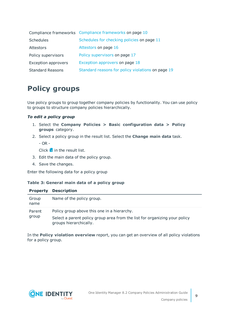|                            | Compliance frameworks Compliance frameworks on page 10 |
|----------------------------|--------------------------------------------------------|
| Schedules                  | Schedules for checking policies on page 11             |
| Attestors                  | Attestors on page 16                                   |
| Policy supervisors         | Policy supervisors on page 17                          |
| <b>Exception approvers</b> | Exception approvers on page 18                         |
| <b>Standard Reasons</b>    | Standard reasons for policy violations on page 19      |

## <span id="page-8-0"></span>**Policy groups**

Use policy groups to group together company policies by functionality. You can use policy to groups to structure company policies hierarchically.

### *To edit a policy group*

- 1. Select the **Company Policies > Basic configuration data > Policy groups** category.
- 2. Select a policy group in the result list. Select the **Change main data** task.
	- $-$  OR  $-$

Click  $\mathbf{f}$  in the result list.

- 3. Edit the main data of the policy group.
- 4. Save the changes.

Enter the following data for a policy group

#### **Table 3: General main data of a policy group**

| <b>Property</b> | <b>Description</b>                                                                                   |
|-----------------|------------------------------------------------------------------------------------------------------|
| Group<br>name   | Name of the policy group.                                                                            |
| Parent          | Policy group above this one in a hierarchy.                                                          |
| group           | Select a parent policy group area from the list for organizing your policy<br>groups hierarchically. |

In the **Policy violation overview** report, you can get an overview of all policy violations for a policy group.

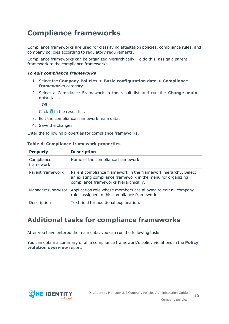## <span id="page-9-0"></span>**Compliance frameworks**

Compliance frameworks are used for classifying attestation policies, compliance rules, and company policies according to regulatory requirements.

Compliance frameworks can be organized hierarchically. To do this, assign a parent framework to the compliance frameworks.

### *To edit compliance frameworks*

- 1. Select the **Company Policies > Basic configuration data > Compliance frameworks** category.
- 2. Select a Compliance Framework in the result list and run the **Change main data** task.

- OR -

Click  $\mathbf{f}$  in the result list.

- 3. Edit the compliance framework main data.
- 4. Save the changes.

Enter the following properties for compliance frameworks.

| <b>Property</b>         | <b>Description</b>                                                                                                                                                     |
|-------------------------|------------------------------------------------------------------------------------------------------------------------------------------------------------------------|
| Compliance<br>framework | Name of the compliance framework.                                                                                                                                      |
| Parent framework        | Parent compliance framework in the framework hierarchy. Select<br>an existing compliance framework in the menu for organizing<br>compliance frameworks hierarchically. |
| Manager/supervisor      | Application role whose members are allowed to edit all company<br>rules assigned to this compliance framework                                                          |
| Description             | Text field for additional explanation.                                                                                                                                 |

#### **Table 4: Compliance framework properties**

### <span id="page-9-1"></span>**Additional tasks for compliance frameworks**

After you have entered the main data, you can run the following tasks.

You can obtain a summary of all a compliance framework's policy violations in the **Policy violation overview** report.

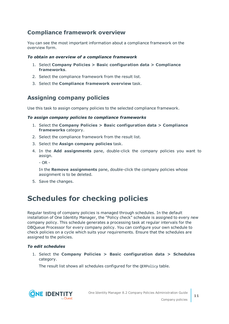### <span id="page-10-2"></span>**Compliance framework overview**

You can see the most important information about a compliance framework on the overview form.

### *To obtain an overview of a compliance framework*

- 1. Select **Company Policies > Basic configuration data > Compliance frameworks**.
- 2. Select the compliance framework from the result list.
- 3. Select the **Compliance framework overview** task.

### <span id="page-10-1"></span>**Assigning company policies**

Use this task to assign company policies to the selected compliance framework.

### *To assign company policies to compliance frameworks*

- 1. Select the **Company Policies > Basic configuration data > Compliance frameworks** category.
- 2. Select the compliance framework from the result list.
- 3. Select the **Assign company policies** task.
- 4. In the **Add assignments** pane, double-click the company policies you want to assign.
	- OR -

In the **Remove assignments** pane, double-click the company policies whose assignment is to be deleted.

<span id="page-10-0"></span>5. Save the changes.

## **Schedules for checking policies**

Regular testing of company policies is managed through schedules. In the default installation of One Identity Manager, the "Policy check" schedule is assigned to every new company policy. This schedule generates a processing task at regular intervals for the DBQueue Processor for every company policy. You can configure your own schedule to check policies on a cycle which suits your requirements. Ensure that the schedules are assigned to the policies.

### *To edit schedules*

1. Select the **Company Policies > Basic configuration data > Schedules** category.

The result list shows all schedules configured for the QERPolicy table.

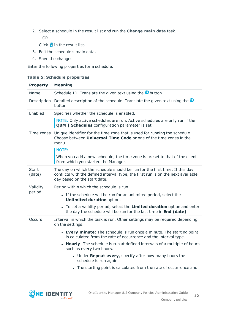2. Select a schedule in the result list and run the **Change main data** task.

– OR –

Click  $\mathbf{t}$  in the result list.

- 3. Edit the schedule's main data.
- 4. Save the changes.

Enter the following properties for a schedule.

### **Table 5: Schedule properties**

| <b>Property</b> | <b>Meaning</b>                                                                                                                                                                                  |
|-----------------|-------------------------------------------------------------------------------------------------------------------------------------------------------------------------------------------------|
| Name            | Schedule ID. Translate the given text using the <b>O</b> button.                                                                                                                                |
| Description     | Detailed description of the schedule. Translate the given text using the<br>button.                                                                                                             |
| Enabled         | Specifies whether the schedule is enabled.                                                                                                                                                      |
|                 | NOTE: Only active schedules are run. Active schedules are only run if the<br><b>QBM</b>   Schedules configuration parameter is set.                                                             |
| Time zones      | Unique identifier for the time zone that is used for running the schedule.<br>Choose between <b>Universal Time Code</b> or one of the time zones in the<br>menu.<br>NOTE:                       |
|                 | When you add a new schedule, the time zone is preset to that of the client<br>from which you started the Manager.                                                                               |
| Start<br>(date) | The day on which the schedule should be run for the first time. If this day<br>conflicts with the defined interval type, the first run is on the next available<br>day based on the start date. |
| Validity        | Period within which the schedule is run.                                                                                                                                                        |
| period          | • If the schedule will be run for an unlimited period, select the<br><b>Unlimited duration option.</b>                                                                                          |
|                 | • To set a validity period, select the Limited duration option and enter<br>the day the schedule will be run for the last time in End (date).                                                   |
| Occurs          | Interval in which the task is run. Other settings may be required depending<br>on the settings.                                                                                                 |
|                 | • Every minute: The schedule is run once a minute. The starting point<br>is calculated from the rate of occurrence and the interval type.                                                       |
|                 | • Hourly: The schedule is run at defined intervals of a multiple of hours<br>such as every two hours.                                                                                           |
|                 | • Under Repeat every, specify after how many hours the<br>schedule is run again.                                                                                                                |
|                 | • The starting point is calculated from the rate of occurrence and                                                                                                                              |

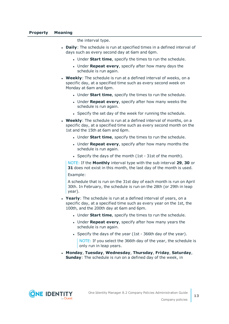the interval type.

- **Daily:** The schedule is run at specified times in a defined interval of days such as every second day at 6am and 6pm.
	- **.** Under **Start time**, specify the times to run the schedule.
	- **.** Under **Repeat every**, specify after how many days the schedule is run again.
- **Weekly**: The schedule is run at a defined interval of weeks, on a specific day, at a specified time such as every second week on Monday at 6am and 6pm.
	- **.** Under **Start time**, specify the times to run the schedule.
	- **.** Under **Repeat every**, specify after how many weeks the schedule is run again.
	- Specify the set day of the week for running the schedule.
- **Weekly:** The schedule is run at a defined interval of months, on a specific day, at a specified time such as every second month on the 1st and the 15th at 6am and 6pm.
	- **.** Under **Start time**, specify the times to run the schedule.
	- <sup>l</sup> Under **Repeat every**, specify after how many months the schedule is run again.
	- Specify the days of the month (1st 31st of the month).

NOTE: If the **Monthly** interval type with the sub interval **29**, **30** or **31** does not exist in this month, the last day of the month is used. Example:

A schedule that is run on the 31st day of each month is run on April 30th. In February, the schedule is run on the 28th (or 29th in leap year).

- **Yearly**: The schedule is run at a defined interval of years, on a specific day, at a specified time such as every year on the 1st, the 100th, and the 200th day at 6am and 6pm.
	- **.** Under **Start time**, specify the times to run the schedule.
	- **.** Under **Repeat every**, specify after how many years the schedule is run again.
	- Specify the days of the year (1st 366th day of the year).

NOTE: If you select the 366th day of the year, the schedule is only run in leap years.

<sup>l</sup> **Monday**, **Tuesday**, **Wednesday**, **Thursday**, **Friday**, **Saturday**, **Sunday**: The schedule is run on a defined day of the week, in

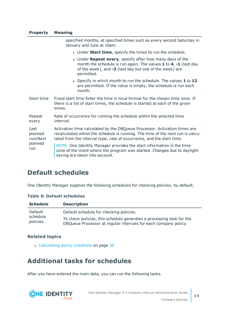### **Property Meaning**

|                                               | specified months, at specified times such as every second Saturday in<br>January and June at 10am.                                                                                                                                    |
|-----------------------------------------------|---------------------------------------------------------------------------------------------------------------------------------------------------------------------------------------------------------------------------------------|
|                                               | • Under <b>Start time</b> , specify the times to run the schedule.                                                                                                                                                                    |
|                                               | • Under <b>Repeat every</b> , specify after how many days of the<br>month the schedule is run again. The values $1$ to $4$ , $-1$ (last day<br>of the week), and -2 (last day but one of the week) are<br>permitted.                  |
|                                               | • Specify in which month to run the schedule. The values 1 to 12<br>are permitted. If the value is empty, the schedule is run each<br>month.                                                                                          |
| Start time                                    | Fixed start time Enter the time in local format for the chosen time zone. If<br>there is a list of start times, the schedule is started at each of the given<br>times.                                                                |
| Repeat<br>every                               | Rate of occurrence for running the schedule within the selected time<br>interval.                                                                                                                                                     |
| Last<br>planned<br>run/Next<br>planned<br>run | Activation time calculated by the DBQueue Processor. Activation times are<br>recalculated whilst the schedule is running. The time of the next run is calcu-<br>lated from the interval type, rate of occurrence, and the start time. |
|                                               | NOTE: One Identity Manager provides the start information in the time<br>zone of the client where the program was started. Changes due to daylight<br>saving are taken into account.                                                  |

### <span id="page-13-0"></span>**Default schedules**

One Identity Manager supplies the following schedules for checking policies, by default.

### **Table 6: Default schedules**

| <b>Schedule</b>      | <b>Description</b>                                                                                                                      |
|----------------------|-----------------------------------------------------------------------------------------------------------------------------------------|
| Default              | Default schedule for checking policies.                                                                                                 |
| schedule<br>policies | To check policies, this schedule generates a processing task for the<br>DBQueue Processor at regular intervals for each company policy. |

### **Related topics**

• [Calculating](#page-35-2) policy violations on page 36

## <span id="page-13-1"></span>**Additional tasks for schedules**

After you have entered the main data, you can run the following tasks.

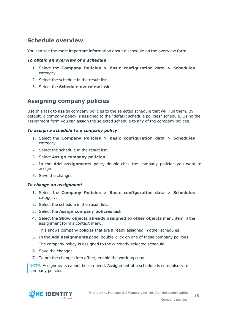### <span id="page-14-1"></span>**Schedule overview**

You can see the most important information about a schedule on the overview form.

### *To obtain an overview of a schedule*

- 1. Select the **Company Policies > Basic configuration data > Schedules** category.
- 2. Select the schedule in the result list.
- 3. Select the **Schedule overview** task.

### <span id="page-14-0"></span>**Assigning company policies**

Use this task to assign company policies to the selected schedule that will run them. By default, a company policy is assigned to the "default schedule policies" schedule. Using the assignment form you can assign the selected schedule to any of the company polices.

### *To assign a schedule to a company policy*

- 1. Select the **Company Policies > Basic configuration data > Schedules** category.
- 2. Select the schedule in the result list.
- 3. Select **Assign company policies**.
- 4. In the **Add assignments** pane, double-click the company policies you want to assign.
- 5. Save the changes.

### *To change an assignment*

- 1. Select the **Company Policies > Basic configuration data > Schedules** category.
- 2. Select the schedule in the result list.
- 3. Select the **Assign company policies** task.
- 4. Select the **Show objects already assigned to other objects** menu item in the assignment form's context menu.

This shows company policies that are already assigned in other schedules.

- 5. In the **Add assignments** pane, double-click on one of these company policies. The company policy is assigned to the currently selected schedule.
- 6. Save the changes.
- 7. To put the changes into effect, enable the working copy.

NOTE: Assignments cannot be removed. Assignment of a schedule is compulsory for company policies.

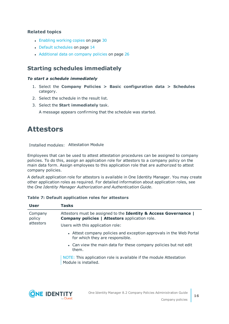### **Related topics**

- [Enabling](#page-29-0) working copies on page 30
- Default [schedules](#page-13-0) on page 14
- [Additional](#page-25-0) data on company policies on page 26

### <span id="page-15-1"></span>**Starting schedules immediately**

### *To start a schedule immediately*

- 1. Select the **Company Policies > Basic configuration data > Schedules** category.
- 2. Select the schedule in the result list.
- 3. Select the **Start immediately** task.

A message appears confirming that the schedule was started.

## <span id="page-15-0"></span>**Attestors**

Installed modules: Attestation Module

Employees that can be used to attest attestation procedures can be assigned to company policies. To do this, assign an application role for attestors to a company policy on the main data form. Assign employees to this application role that are authorized to attest company policies.

A default application role for attestors is available in One Identity Manager. You may create other application roles as required. For detailed information about application roles, see the *One Identity Manager Authorization and Authentication Guide*.

### **Table 7: Default application roles for attestors**

| <b>User</b>       | <b>Tasks</b>                                                                                                              |
|-------------------|---------------------------------------------------------------------------------------------------------------------------|
| Company<br>policy | Attestors must be assigned to the Identity & Access Governance  <br><b>Company policies   Attestors application role.</b> |
| attestors         | Users with this application role:                                                                                         |
|                   | • Attest company policies and exception approvals in the Web Portal<br>for which they are responsible.                    |
|                   | • Can view the main data for these company policies but not edit<br>them.                                                 |
|                   | NOTE: This application role is available if the module Attestation<br>Module is installed.                                |

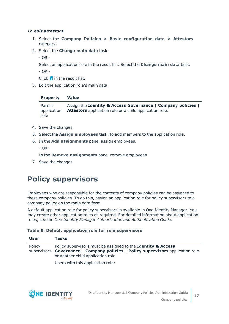### *To edit attestors*

- 1. Select the **Company Policies > Basic configuration data > Attestors** category.
- 2. Select the **Change main data** task.

- OR -

Select an application role in the result list. Select the **Change main data** task.

- OR -

Click  $\mathbf{1}$  in the result list.

3. Edit the application role's main data.

### **Property Value**

Parent application role Assign the **Identity & Access Governance | Company policies | Attestors** application role or a child application role.

- 4. Save the changes.
- 5. Select the **Assign employees** task, to add members to the application role.
- 6. In the **Add assignments** pane, assign employees.
	- $-$  OR  $-$

In the **Remove assignments** pane, remove employees.

<span id="page-16-0"></span>7. Save the changes.

## **Policy supervisors**

Employees who are responsible for the contents of company policies can be assigned to these company policies. To do this, assign an application role for policy supervisors to a company policy on the main data form.

A default application role for policy supervisors is available in One Identity Manager. You may create other application roles as required. For detailed information about application roles, see the *One Identity Manager Authorization and Authentication Guide*.

### **Table 8: Default application role for rule supervisors**

| <b>User</b> | <b>Tasks</b>                                                                                                                                                                          |
|-------------|---------------------------------------------------------------------------------------------------------------------------------------------------------------------------------------|
| Policy      | Policy supervisors must be assigned to the Identity & Access<br>supervisors Governance   Company policies   Policy supervisors application role<br>or another child application role. |
|             | Users with this application role:                                                                                                                                                     |

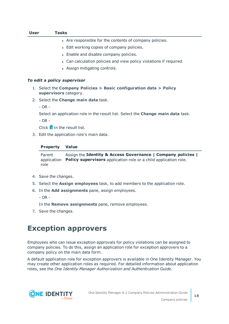| <b>User</b> | <b>Tasks</b>                                                                                    |
|-------------|-------------------------------------------------------------------------------------------------|
|             | • Are responsible for the contents of company policies.                                         |
|             | • Edit working copies of company policies.                                                      |
|             | • Enable and disable company policies.                                                          |
|             | • Can calculation policies and view policy violations if required.                              |
|             | • Assign mitigating controls.                                                                   |
|             | To edit a policy supervisor                                                                     |
|             | 1. Select the Company Policies $>$ Basic configuration data $>$ Policy<br>supervisors category. |
|             | 2. Select the <b>Change main data</b> task.                                                     |
|             | $- OR -$                                                                                        |
|             | Select an application role in the result list. Select the <b>Change main data</b> task.         |
|             | $-$ OR $-$                                                                                      |
|             | Click $\mathbf{1}$ in the result list.                                                          |
|             | 3. Edit the application role's main data.                                                       |
|             | <b>Value</b><br><b>Property</b>                                                                 |

Parent application Policy supervisors application role or a child application role. role Assign the **Identity & Access Governance | Company policies |**

- 4. Save the changes.
- 5. Select the **Assign employees** task, to add members to the application role.
- 6. In the **Add assignments** pane, assign employees.
	- OR -

In the **Remove assignments** pane, remove employees.

<span id="page-17-0"></span>7. Save the changes.

## **Exception approvers**

Employees who can issue exception approvals for policy violations can be assigned to company policies. To do this, assign an application role for exception approvers to a company policy on the main data form.

A default application role for exception approvers is available in One Identity Manager. You may create other application roles as required. For detailed information about application roles, see the *One Identity Manager Authorization and Authentication Guide*.

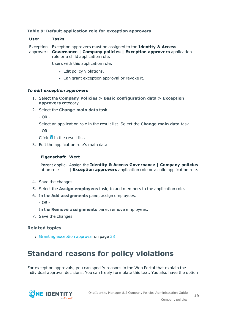| <b>User</b>           | <b>Tasks</b>                                                                                                                                                                    |
|-----------------------|---------------------------------------------------------------------------------------------------------------------------------------------------------------------------------|
| Exception             | Exception approvers must be assigned to the Identity & Access<br>approvers Governance   Company policies   Exception approvers application<br>role or a child application role. |
|                       | Users with this application role:                                                                                                                                               |
|                       | • Edit policy violations.                                                                                                                                                       |
|                       | • Can grant exception approval or revoke it.                                                                                                                                    |
|                       | To edit exception approvers                                                                                                                                                     |
|                       | 1. Select the Company Policies $>$ Basic configuration data $>$ Exception<br>approvers category.                                                                                |
|                       | 2. Select the <b>Change main data</b> task.                                                                                                                                     |
| $- OR -$              |                                                                                                                                                                                 |
|                       | Select an application role in the result list. Select the <b>Change main data</b> task.                                                                                         |
| $- OR -$              |                                                                                                                                                                                 |
|                       | Click $\mathbf{1}$ in the result list.                                                                                                                                          |
|                       | 3. Edit the application role's main data.                                                                                                                                       |
|                       | <b>Eigenschaft Wert</b>                                                                                                                                                         |
|                       | Parent applic- Assign the Identity & Access Governance   Company policies<br>ation role<br><b>  Exception approvers</b> application role or a child application role.           |
|                       | 4. Save the changes.                                                                                                                                                            |
|                       | 5. Select the <b>Assign employees</b> task, to add members to the application role.                                                                                             |
| 6.                    | In the Add assignments pane, assign employees.                                                                                                                                  |
| $- OR -$              |                                                                                                                                                                                 |
|                       | In the Remove assignments pane, remove employees.                                                                                                                               |
|                       | 7. Save the changes.                                                                                                                                                            |
| <b>Related topics</b> |                                                                                                                                                                                 |
|                       | • Granting exception approval on page 38                                                                                                                                        |
|                       |                                                                                                                                                                                 |
|                       | <b>Standard reasons for policy violations</b>                                                                                                                                   |

#### **Table 9: Default application role for exception approvers**

<span id="page-18-0"></span>For exception approvals, you can specify reasons in the Web Portal that explain the individual approval decisions. You can freely formulate this text. You also have the option

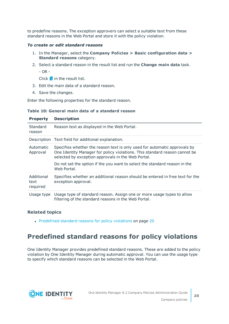to predefine reasons. The exception approvers can select a suitable text from these standard reasons in the Web Portal and store it with the policy violation.

#### *To create or edit standard reasons*

- 1. In the Manager, select the **Company Policies > Basic configuration data > Standard reasons** category.
- 2. Select a standard reason in the result list and run the **Change main data** task.
	- OR -

Click  $\mathbf{I}$  in the result list.

- 3. Edit the main data of a standard reason.
- 4. Save the changes.

Enter the following properties for the standard reason.

#### **Table 10: General main data of a standard reason**

| <b>Property</b>                | <b>Description</b>                                                                                                                                                                                                                                                                                         |
|--------------------------------|------------------------------------------------------------------------------------------------------------------------------------------------------------------------------------------------------------------------------------------------------------------------------------------------------------|
| Standard<br>reason             | Reason text as displayed in the Web Portal.                                                                                                                                                                                                                                                                |
|                                | Description Text field for additional explanation.                                                                                                                                                                                                                                                         |
| Automatic<br>Approval          | Specifies whether the reason text is only used for automatic approvals by<br>One Identity Manager for policy violations. This standard reason cannot be<br>selected by exception approvals in the Web Portal.<br>Do not set the option if the you want to select the standard reason in the<br>Web Portal. |
| Additional<br>text<br>required | Specifies whether an additional reason should be entered in free text for the<br>exception approval.                                                                                                                                                                                                       |
| Usage type                     | Usage type of standard reason. Assign one or more usage types to allow<br>filtering of the standard reasons in the Web Portal.                                                                                                                                                                             |

### **Related topics**

• [Predefined](#page-19-0) standard reasons for policy violations on page 20

## <span id="page-19-0"></span>**Predefined standard reasons for policy violations**

One Identity Manager provides predefined standard reasons. These are added to the policy violation by One Identity Manager during automatic approval. You can use the usage type to specify which standard reasons can be selected in the Web Portal.

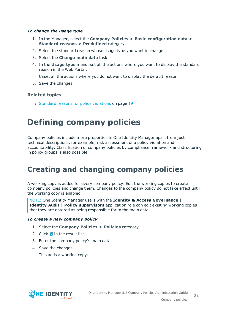#### *To change the usage type*

- 1. In the Manager, select the **Company Policies > Basic configuration data > Standard reasons > Predefined** category.
- 2. Select the standard reason whose usage type you want to change.
- 3. Select the **Change main data** task.
- 4. In the **Usage type** menu, set all the actions where you want to display the standard reason in the Web Portal.

Unset all the actions where you do not want to display the default reason.

5. Save the changes.

### **Related topics**

• Standard reasons for policy [violations](#page-18-0) on page 19

# <span id="page-20-0"></span>**Defining company policies**

Company policies include more properties in One Identity Manager apart from just technical descriptions, for example, risk assessment of a policy violation and accountability. Classification of company policies by compliance framework and structuring in policy groups is also possible.

## <span id="page-20-1"></span>**Creating and changing company policies**

A working copy is added for every company policy. Edit the working copies to create company policies and change them. Changes to the company policy do not take effect until the working copy is enabled.

NOTE: One Identity Manager users with the **Identity & Access Governance | Identity Audit | Policy supervisors** application role can edit existing working copies that they are entered as being responsible for in the main data.

#### <span id="page-20-2"></span>*To create a new company policy*

- 1. Select the **Company Policies > Policies** category.
- 2. Click  $\mathbf{r}$  in the result list.
- 3. Enter the company policy's main data.
- 4. Save the changes.

This adds a working copy.

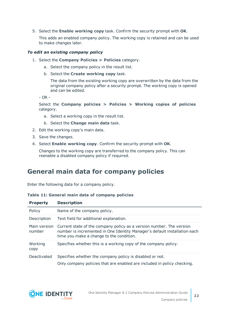5. Select the **Enable working copy** task. Confirm the security prompt with **OK**.

This adds an enabled company policy. The working copy is retained and can be used to make changes later.

#### <span id="page-21-1"></span>*To edit an existing company policy*

- 1. Select the **Company Policies > Policies** category.
	- a. Select the company policy in the result list.
	- b. Select the **Create working copy** task.

The data from the existing working copy are overwritten by the data from the original company policy after a security prompt. The working copy is opened and can be edited.

- OR -

Select the **Company policies > Policies > Working copies of policies** category.

- a. Select a working copy in the result list.
- b. Select the **Change main data** task.
- 2. Edit the working copy's main data.
- 3. Save the changes.
- 4. Select **Enable working copy**. Confirm the security prompt with **OK**.

Changes to the working copy are transferred to the company policy. This can reenable a disabled company policy if required.

### <span id="page-21-0"></span>**General main data for company policies**

Enter the following data for a company policy.

|  |  |  |  |  |  | Table 11: General main data of company policies |  |
|--|--|--|--|--|--|-------------------------------------------------|--|
|--|--|--|--|--|--|-------------------------------------------------|--|

| <b>Property</b>        | <b>Description</b>                                                                                                                                                                            |
|------------------------|-----------------------------------------------------------------------------------------------------------------------------------------------------------------------------------------------|
| Policy                 | Name of the company policy.                                                                                                                                                                   |
| Description            | Text field for additional explanation.                                                                                                                                                        |
| Main version<br>number | Current state of the company policy as a version number. The version<br>number is incremented in One Identity Manager's default installation each<br>time you make a change to the condition. |
| Working<br>copy        | Specifies whether this is a working copy of the company policy.                                                                                                                               |
| Deactivated            | Specifies whether the company policy is disabled or not.                                                                                                                                      |
|                        | Only company policies that are enabled are included in policy checking.                                                                                                                       |

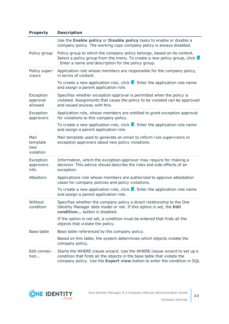| <b>Property</b>                      | <b>Description</b>                                                                                                                                                                                                             |
|--------------------------------------|--------------------------------------------------------------------------------------------------------------------------------------------------------------------------------------------------------------------------------|
|                                      | Use the Enable policy or Disable policy tasks to enable or disable a<br>company policy. The working copy company policy is always disabled.                                                                                    |
| Policy group                         | Policy group to which the company policy belongs, based on its content.<br>Select a policy group from the menu. To create a new policy group, click $\mathbf{F}$<br>. Enter a name and description for the policy group.       |
| Policy super-<br>visors              | Application role whose members are responsible for the company policy,<br>in terms of content.                                                                                                                                 |
|                                      | To create a new application role, click $\mathbf{L}$ . Enter the application role name<br>and assign a parent application role.                                                                                                |
| Exception<br>approval<br>allowed     | Specifies whether exception approval is permitted when the policy is<br>violated. Assignments that cause the policy to be violated can be approved<br>and issued anyway with this.                                             |
| Exception<br>approvers               | Application role, whose members are entitled to grant exception approval<br>for violations to this company policy.                                                                                                             |
|                                      | To create a new application role, click $\mathbf{L}$ . Enter the application role name<br>and assign a parent application role.                                                                                                |
| Mail<br>template<br>new<br>violation | Mail template used to generate an email to inform rule supervisors or<br>exception approvers about new policy violations.                                                                                                      |
| Exception<br>approvers<br>info       | Information, which the exception approver may require for making a<br>decision. This advice should describe the risks and side effects of an<br>exception.                                                                     |
| <b>Attestors</b>                     | Applications role whose members are authorized to approve attestation<br>cases for company policies and policy violations.                                                                                                     |
|                                      | To create a new application role, click $\mathbf{L}$ . Enter the application role name<br>and assign a parent application role.                                                                                                |
| Without<br>condition                 | Specifies whether the company policy a direct relationship to the One<br>Identity Manager data model or not. If this option is set, the Edit<br>condition button is disabled.                                                  |
|                                      | If the option is not set, a condition must be entered that finds all the<br>objects that violate the policy.                                                                                                                   |
| Base table                           | Base table referenced by the company policy.                                                                                                                                                                                   |
|                                      | Based on this table, the system determines which objects violate the<br>company policy.                                                                                                                                        |
| Edit connec-<br>tion                 | Starts the WHERE clause wizard. Use the WHERE clause wizard to set up a<br>condition that finds all the objects in the base table that violate the<br>company policy. Use the Expert view button to enter the condition in SQL |

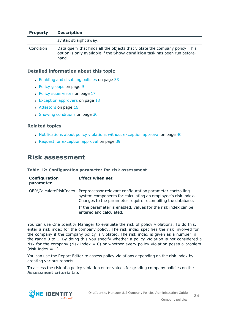#### **Property Description**

syntax straight away. Condition Data query that finds all the objects that violate the company policy. This option is only available if the **Show condition** task has been run beforehand.

#### **Detailed information about this topic**

- Enabling and [disabling](#page-32-0) policies on page 33
- Policy [groups](#page-8-0) on page 9
- $\cdot$  Policy [supervisors](#page-16-0) on page 17
- $\cdot$  Exception [approvers](#page-17-0) on page 18
- [Attestors](#page-15-0) on page 16
- Showing [conditions](#page-29-1) on page 30

#### **Related topics**

- [Notifications](#page-39-0) about policy violations without exception approval on page 40
- Request for [exception](#page-38-1) approval on page 39

### <span id="page-23-0"></span>**Risk assessment**

#### **Table 12: Configuration parameter for risk assessment**

| Configuration<br>parameter | <b>Effect when set</b>                                                                                                                                                                                        |
|----------------------------|---------------------------------------------------------------------------------------------------------------------------------------------------------------------------------------------------------------|
|                            | QER\CalculateRiskIndex Preprocessor relevant configuration parameter controlling<br>system components for calculating an employee's risk index.<br>Changes to the parameter require recompiling the database. |
|                            | If the parameter is enabled, values for the risk index can be<br>entered and calculated.                                                                                                                      |

You can use One Identity Manager to evaluate the risk of policy violations. To do this, enter a risk index for the company policy. The risk index specifies the risk involved for the company if the company policy is violated. The risk index is given as a number in the range 0 to 1. By doing this you specify whether a policy violation is not considered a risk for the company (risk index  $= 0$ ) or whether every policy violation poses a problem  $(risk index = 1).$ 

You can use the Report Editor to assess policy violations depending on the risk index by creating various reports.

To assess the risk of a policy violation enter values for grading company policies on the **Assessment criteria** tab.

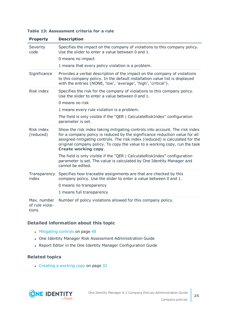|  |  | Table 13: Assessment criteria for a rule |  |  |  |
|--|--|------------------------------------------|--|--|--|
|--|--|------------------------------------------|--|--|--|

| <b>Property</b>                        | <b>Description</b>                                                                                                                                                                                                                                                                                                                                      |
|----------------------------------------|---------------------------------------------------------------------------------------------------------------------------------------------------------------------------------------------------------------------------------------------------------------------------------------------------------------------------------------------------------|
| Severity<br>code                       | Specifies the impact on the company of violations to this company policy.<br>Use the slider to enter a value between 0 and 1.                                                                                                                                                                                                                           |
|                                        | 0 means no impact                                                                                                                                                                                                                                                                                                                                       |
|                                        | 1 means that every policy violation is a problem.                                                                                                                                                                                                                                                                                                       |
| Significance                           | Provides a verbal description of the impact on the company of violations<br>to this company policy. In the default installation value list is displayed<br>with the entries {NONE, 'low', 'average', 'high', 'critical'}.                                                                                                                               |
| Risk index                             | Specifies the risk for the company of violations to this company policy.<br>Use the slider to enter a value between 0 and 1.                                                                                                                                                                                                                            |
|                                        | 0 means no risk                                                                                                                                                                                                                                                                                                                                         |
|                                        | 1 means every rule violation is a problem.                                                                                                                                                                                                                                                                                                              |
|                                        | The field is only visible if the "QER   CalculateRiskIndex" configuration<br>parameter is set.                                                                                                                                                                                                                                                          |
| Risk index<br>(reduced)                | Show the risk index taking mitigating controls into account. The risk index<br>for a company policy is reduced by the significance reduction value for all<br>assigned mitigating controls. The risk index (reduced) is calculated for the<br>original company policy. To copy the value to a working copy, run the task<br><b>Create working copy.</b> |
|                                        | The field is only visible if the "QER   CalculateRiskIndex" configuration<br>parameter is set. The value is calculated by One Identity Manager and<br>cannot be edited.                                                                                                                                                                                 |
| Transparency<br>index                  | Specifies how traceable assignments are that are checked by this<br>company policy. Use the slider to enter a value between 0 and 1.<br>0 means no transparency                                                                                                                                                                                         |
|                                        | 1 means full transparency                                                                                                                                                                                                                                                                                                                               |
| Max. number<br>of rule viola-<br>tions | Number of policy violations allowed for this company policy.                                                                                                                                                                                                                                                                                            |

### **Detailed information about this topic**

- [Mitigating](#page-47-0) controls on page 48
- One Identity Manager Risk Assessment Administration Guide
- Report Editor in the One Identity Manager Configuration Guide

### **Related topics**

• [Creating](#page-31-1) a working copy on page 32

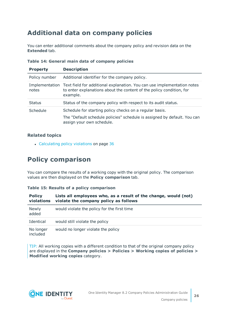## <span id="page-25-0"></span>**Additional data on company policies**

You can enter additional comments about the company policy and revision data on the **Extended** tab.

| <b>Property</b> | <b>Description</b>                                                                                                                                                         |
|-----------------|----------------------------------------------------------------------------------------------------------------------------------------------------------------------------|
| Policy number   | Additional identifier for the company policy.                                                                                                                              |
| notes           | Implementation Text field for additional explanation. You can use implementation notes<br>to enter explanations about the content of the policy condition, for<br>example. |
| <b>Status</b>   | Status of the company policy with respect to its audit status.                                                                                                             |
| Schedule        | Schedule for starting policy checks on a regular basis.<br>The "Default schedule policies" schedule is assigned by default. You can<br>assign your own schedule.           |

### **Table 14: General main data of company policies**

### **Related topics**

• [Calculating](#page-35-2) policy violations on page 36

## <span id="page-25-1"></span>**Policy comparison**

You can compare the results of a working copy with the original policy. The comparison values are then displayed on the **Policy comparison** tab.

### **Table 15: Results of a policy comparison**

| <b>Policy</b><br>violations | Lists all employees who, as a result of the change, would (not)<br>violate the company policy as follows |
|-----------------------------|----------------------------------------------------------------------------------------------------------|
| <b>Newly</b><br>added       | would violate the policy for the first time                                                              |
| Identical                   | would still violate the policy                                                                           |
| No longer<br>included       | would no longer violate the policy                                                                       |

TIP: All working copies with a different condition to that of the original company policy are displayed in the **Company policies > Policies > Working copies of policies > Modified working copies** category.



**26**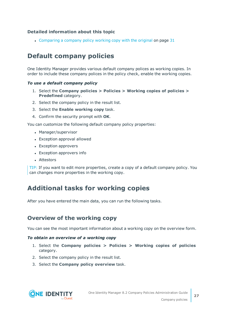### **Detailed information about this topic**

• [Comparing](#page-30-0) a company policy working copy with the original on page 31

## <span id="page-26-0"></span>**Default company policies**

One Identity Manager provides various default company polices as working copies. In order to include these company polices in the policy check, enable the working copies.

#### *To use a default company policy*

- 1. Select the **Company policies > Policies > Working copies of policies > Predefined** category.
- 2. Select the company policy in the result list.
- 3. Select the **Enable working copy** task.
- 4. Confirm the security prompt with **OK**.

You can customize the following default company policy properties:

- Manager/supervisor
- Exception approval allowed
- Exception approvers
- Exception approvers info
- Attestors

TIP: If you want to edit more properties, create a copy of a default company policy. You can changes more properties in the working copy.

### <span id="page-26-1"></span>**Additional tasks for working copies**

After you have entered the main data, you can run the following tasks.

### <span id="page-26-2"></span>**Overview of the working copy**

You can see the most important information about a working copy on the overview form.

#### *To obtain an overview of a working copy*

- 1. Select the **Company policies > Policies > Working copies of policies** category.
- 2. Select the company policy in the result list.
- 3. Select the **Company policy overview** task.

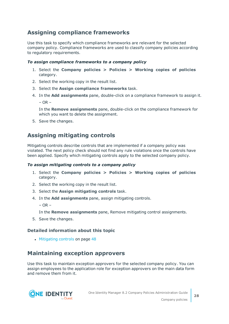### <span id="page-27-0"></span>**Assigning compliance frameworks**

Use this task to specify which compliance frameworks are relevant for the selected company policy. Compliance frameworks are used to classify company policies according to regulatory requirements.

### *To assign compliance frameworks to a company policy*

- 1. Select the **Company policies > Policies > Working copies of policies** category.
- 2. Select the working copy in the result list.
- 3. Select the **Assign compliance frameworks** task.
- 4. In the **Add assignments** pane, double-click on a compliance framework to assign it.  $-$  OR  $-$

In the **Remove assignments** pane, double-click on the compliance framework for which you want to delete the assignment.

5. Save the changes.

### <span id="page-27-2"></span>**Assigning mitigating controls**

Mitigating controls describe controls that are implemented if a company policy was violated. The next policy check should not find any rule violations once the controls have been applied. Specify which mitigating controls apply to the selected company policy.

### *To assign mitigating controls to a company policy*

- 1. Select the **Company policies > Policies > Working copies of policies** category.
- 2. Select the working copy in the result list.
- 3. Select the **Assign mitigating controls** task.
- 4. In the **Add assignments** pane, assign mitigating controls.

 $-$  OR  $-$ 

In the **Remove assignments** pane, Remove mitigating control assignments.

5. Save the changes.

### **Detailed information about this topic**

• [Mitigating](#page-47-0) controls on page 48

### <span id="page-27-1"></span>**Maintaining exception approvers**

Use this task to maintain exception approvers for the selected company policy. You can assign employees to the application role for exception approvers on the main data form and remove them from it.

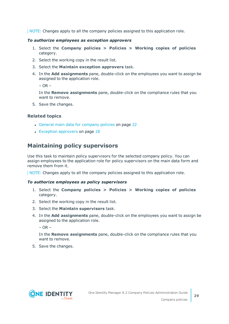NOTE: Changes apply to all the company policies assigned to this application role.

#### *To authorize employees as exception approvers*

- 1. Select the **Company policies > Policies > Working copies of policies** category.
- 2. Select the working copy in the result list.
- 3. Select the **Maintain exception approvers** task.
- 4. In the **Add assignments** pane, double-click on the employees you want to assign be assigned to the application role.

 $-$  OR  $-$ 

In the **Remove assignments** pane, double-click on the compliance rules that you want to remove.

5. Save the changes.

### **Related topics**

- General main data for [company](#page-21-0) policies on page 22
- $\cdot$  Exception [approvers](#page-17-0) on page 18

### <span id="page-28-0"></span>**Maintaining policy supervisors**

Use this task to maintain policy supervisors for the selected company policy. You can assign employees to the application role for policy supervisors on the main data form and remove them from it.

NOTE: Changes apply to all the company policies assigned to this application role.

#### *To authorize employees as policy supervisors*

- 1. Select the **Company policies > Policies > Working copies of policies** category.
- 2. Select the working copy in the result list.
- 3. Select the **Maintain supervisors** task.
- 4. In the **Add assignments** pane, double-click on the employees you want to assign be assigned to the application role.

 $-$  OR  $-$ 

In the **Remove assignments** pane, double-click on the compliance rules that you want to remove.

5. Save the changes.

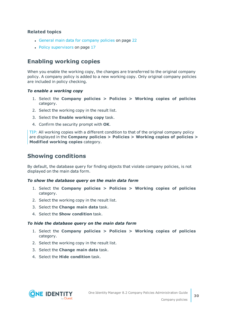### **Related topics**

- General main data for [company](#page-21-0) policies on page 22
- Policy [supervisors](#page-16-0) on page 17

### <span id="page-29-0"></span>**Enabling working copies**

When you enable the working copy, the changes are transferred to the original company policy. A company policy is added to a new working copy. Only original company policies are included in policy checking.

#### *To enable a working copy*

- 1. Select the **Company policies > Policies > Working copies of policies** category.
- 2. Select the working copy in the result list.
- 3. Select the **Enable working copy** task.
- 4. Confirm the security prompt with **OK**.

TIP: All working copies with a different condition to that of the original company policy are displayed in the **Company policies > Policies > Working copies of policies > Modified working copies** category.

### <span id="page-29-1"></span>**Showing conditions**

By default, the database query for finding objects that violate company policies, is not displayed on the main data form.

#### *To show the database query on the main data form*

- 1. Select the **Company policies > Policies > Working copies of policies** category.
- 2. Select the working copy in the result list.
- 3. Select the **Change main data** task.
- 4. Select the **Show condition** task.

#### *To hide the database query on the main data form*

- 1. Select the **Company policies > Policies > Working copies of policies** category.
- 2. Select the working copy in the result list.
- 3. Select the **Change main data** task.
- 4. Select the **Hide condition** task.

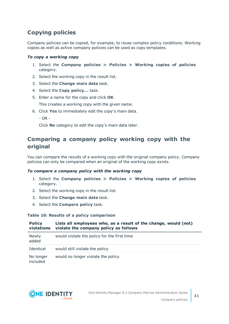### <span id="page-30-1"></span>**Copying policies**

Company policies can be copied, for example, to reuse complex policy conditions. Working copies as well as active company policies can be used as copy templates.

### *To copy a working copy*

- 1. Select the **Company policies > Policies > Working copies of policies** category.
- 2. Select the working copy in the result list.
- 3. Select the **Change main data** task.
- 4. Select the **Copy policy...** task.
- 5. Enter a name for the copy and click **OK**.

This creates a working copy with the given name.

- 6. Click **Yes** to immediately edit the copy's main data.
	- $-$  OR  $-$

Click **No** category.to edit the copy's main data later.

### <span id="page-30-0"></span>**Comparing a company policy working copy with the original**

You can compare the results of a working copy with the original company policy. Company policies can only be compared when an original of the working copy exists.

### *To compare a company policy with the working copy*

- 1. Select the **Company policies > Policies > Working copies of policies** category.
- 2. Select the working copy in the result list.
- 3. Select the **Change main data** task.
- 4. Select the **Compare policy** task.

### **Table 16: Results of a policy comparison**

| <b>Policy</b><br>violations | Lists all employees who, as a result of the change, would (not)<br>violate the company policy as follows |
|-----------------------------|----------------------------------------------------------------------------------------------------------|
| <b>Newly</b><br>added       | would violate the policy for the first time                                                              |
| Identical                   | would still violate the policy                                                                           |
| No longer<br>included       | would no longer violate the policy                                                                       |

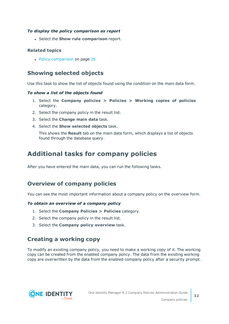### *To display the policy comparison as report*

<sup>l</sup> Select the **Show rule comparison** report.

### **Related topics**

• Policy [comparison](#page-25-1) on page 26

### <span id="page-31-3"></span>**Showing selected objects**

Use this task to show the list of objects found using the condition on the main data form.

### *To show a list of the objects found*

- 1. Select the **Company policies > Policies > Working copies of policies** category.
- 2. Select the company policy in the result list.
- 3. Select the **Change main data** task.
- 4. Select the **Show selected objects** task.

This shows the **Result** tab on the main data form, which displays a list of objects found through the database query.

## <span id="page-31-0"></span>**Additional tasks for company policies**

After you have entered the main data, you can run the following tasks.

### <span id="page-31-2"></span>**Overview of company policies**

You can see the most important information about a company policy on the overview form.

### *To obtain an overview of a company policy*

- 1. Select the **Company Policies > Policies** category.
- 2. Select the company policy in the result list.
- <span id="page-31-1"></span>3. Select the **Company policy overview** task.

### **Creating a working copy**

To modify an existing company policy, you need to make a working copy of it. The working copy can be created from the enabled company policy. The data from the existing working copy are overwritten by the data from the enabled company policy after a security prompt.

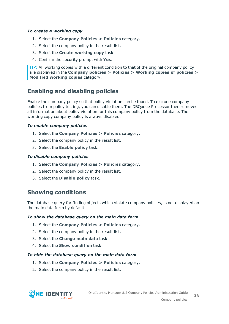#### *To create a working copy*

- 1. Select the **Company Policies > Policies** category.
- 2. Select the company policy in the result list.
- 3. Select the **Create working copy** task.
- 4. Confirm the security prompt with **Yes**.

TIP: All working copies with a different condition to that of the original company policy are displayed in the **Company policies > Policies > Working copies of policies > Modified working copies** category.

### <span id="page-32-0"></span>**Enabling and disabling policies**

Enable the company policy so that policy violation can be found. To exclude company policies from policy testing, you can disable them. The DBQueue Processor then removes all information about policy violation for this company policy from the database. The working copy company policy is always disabled.

#### *To enable company policies*

- 1. Select the **Company Policies > Policies** category.
- 2. Select the company policy in the result list.
- 3. Select the **Enable policy** task.

#### *To disable company policies*

- 1. Select the **Company Policies > Policies** category.
- 2. Select the company policy in the result list.
- <span id="page-32-1"></span>3. Select the **Disable policy** task.

### **Showing conditions**

The database query for finding objects which violate company policies, is not displayed on the main data form by default.

#### *To show the database query on the main data form*

- 1. Select the **Company Policies > Policies** category.
- 2. Select the company policy in the result list.
- 3. Select the **Change main data** task.
- 4. Select the **Show condition** task.

#### *To hide the database query on the main data form*

- 1. Select the **Company Policies > Policies** category.
- 2. Select the company policy in the result list.

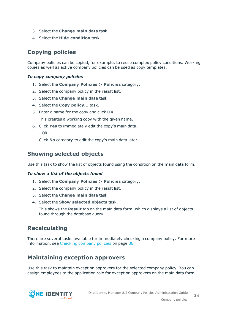- 3. Select the **Change main data** task.
- 4. Select the **Hide condition** task.

### <span id="page-33-2"></span>**Copying policies**

Company policies can be copied, for example, to reuse complex policy conditions. Working copies as well as active company policies can be used as copy templates.

### *To copy company policies*

- 1. Select the **Company Policies > Policies** category.
- 2. Select the company policy in the result list.
- 3. Select the **Change main data** task.
- 4. Select the **Copy policy...** task.
- 5. Enter a name for the copy and click **OK**.

This creates a working copy with the given name.

6. Click **Yes** to immediately edit the copy's main data.

- OR -

Click **No** category.to edit the copy's main data later.

### <span id="page-33-1"></span>**Showing selected objects**

Use this task to show the list of objects found using the condition on the main data form.

### *To show a list of the objects found*

- 1. Select the **Company Policies > Policies** category.
- 2. Select the company policy in the result list.
- 3. Select the **Change main data** task.
- 4. Select the **Show selected objects** task.

This shows the **Result** tab on the main data form, which displays a list of objects found through the database query.

### <span id="page-33-3"></span>**Recalculating**

There are several tasks available for immediately checking a company policy. For [more](#page-35-1) [information,](#page-35-1) see Checking company policies on page 36.

### <span id="page-33-0"></span>**Maintaining exception approvers**

Use this task to maintain exception approvers for the selected company policy. You can assign employees to the application role for exception approvers on the main data form

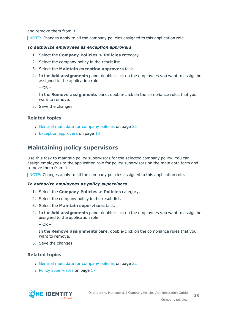and remove them from it.

NOTE: Changes apply to all the company policies assigned to this application role.

#### *To authorize employees as exception approvers*

- 1. Select the **Company Policies > Policies** category.
- 2. Select the company policy in the result list.
- 3. Select the **Maintain exception approvers** task.
- 4. In the **Add assignments** pane, double-click on the employees you want to assign be assigned to the application role.

 $-$  OR  $-$ 

In the **Remove assignments** pane, double-click on the compliance rules that you want to remove.

5. Save the changes.

### **Related topics**

- General main data for [company](#page-21-0) policies on page 22
- $\cdot$  Exception [approvers](#page-17-0) on page 18

### <span id="page-34-0"></span>**Maintaining policy supervisors**

Use this task to maintain policy supervisors for the selected company policy. You can assign employees to the application role for policy supervisors on the main data form and remove them from it.

NOTE: Changes apply to all the company policies assigned to this application role.

#### *To authorize employees as policy supervisors*

- 1. Select the **Company Policies > Policies** category.
- 2. Select the company policy in the result list.
- 3. Select the **Maintain supervisors** task.
- 4. In the **Add assignments** pane, double-click on the employees you want to assign be assigned to the application role.

 $-$  OR  $-$ 

In the **Remove assignments** pane, double-click on the compliance rules that you want to remove.

5. Save the changes.

### **Related topics**

- General main data for [company](#page-21-0) policies on page 22
- Policy [supervisors](#page-16-0) on page 17

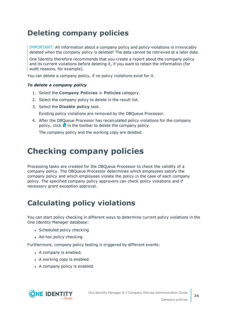## <span id="page-35-0"></span>**Deleting company policies**

IMPORTANT: All information about a company policy and policy violations is irrevocably deleted when the company policy is deleted! The data cannot be retrieved at a later date.

One Identity therefore recommends that you create a report about the company policy and its current violations before deleting it, if you want to retain the information (for audit reasons, for example).

You can delete a company policy, if no policy violations exist for it.

### *To delete a company policy*

- 1. Select the **Company Policies > Policies** category.
- 2. Select the company policy to delete in the result list.
- 3. Select the **Disable policy** task.
	- Existing policy violations are removed by the DBQueue Processor.
- 4. After the DBQueue Processor has recalculated policy violations for the company policy, click  $\mathbf{\hat{x}}$  in the toolbar to delete the company policy.

The company policy and the working copy are deleted.

## <span id="page-35-1"></span>**Checking company policies**

Processing tasks are created for the DBQueue Processor to check the validity of a company policy. The DBQueue Processor determines which employees satisfy the company policy and which employees violate the policy in the case of each company policy. The specified company policy approvers can check policy violations and if necessary grant exception approval.

## <span id="page-35-2"></span>**Calculating policy violations**

You can start policy checking in different ways to determine current policy violations in the One Identity Manager database:

- Scheduled policy checking
- Ad-hoc policy checking

Furthermore, company policy testing is triggered by different events:

- A company is enabled.
- A working copy is enabled.
- A company policy is enabled.

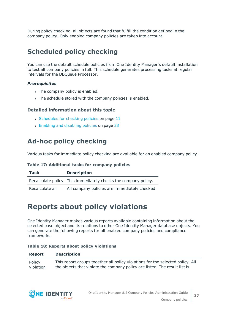During policy checking, all objects are found that fulfill the condition defined in the company policy. Only enabled company policies are taken into account.

## <span id="page-36-0"></span>**Scheduled policy checking**

You can use the default schedule policies from One Identity Manager's default installation to test all company policies in full. This schedule generates processing tasks at regular intervals for the DBQueue Processor.

### *Prerequisites*

- The company policy is enabled.
- The schedule stored with the company policies is enabled.

### **Detailed information about this topic**

- $\cdot$  [Schedules](#page-10-0) for checking policies on page 11
- Enabling and [disabling](#page-32-0) policies on page 33

## <span id="page-36-1"></span>**Ad-hoc policy checking**

Various tasks for immediate policy checking are available for an enabled company policy.

### **Table 17: Additional tasks for company policies**

| Task            | <b>Description</b>                                             |
|-----------------|----------------------------------------------------------------|
|                 | Recalculate policy This immediately checks the company policy. |
| Recalculate all | All company policies are immediately checked.                  |

## <span id="page-36-2"></span>**Reports about policy violations**

One Identity Manager makes various reports available containing information about the selected base object and its relations to other One Identity Manager database objects. You can generate the following reports for all enabled company policies and compliance frameworks.

### **Table 18: Reports about policy violations**

### **Report Description**

Policy violation This report groups together all policy violations for the selected policy. All the objects that violate the company policy are listed. The result list is



**37**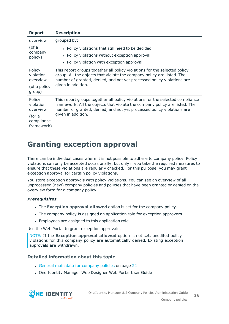| <b>Report</b>                                                         | <b>Description</b>                                                                                                                                                                                                                                          |
|-----------------------------------------------------------------------|-------------------------------------------------------------------------------------------------------------------------------------------------------------------------------------------------------------------------------------------------------------|
| overview<br>(of a<br>company<br>policy)                               | grouped by:<br>• Policy violations that still need to be decided<br>• Policy violations without exception approval<br>• Policy violation with exception approval                                                                                            |
| Policy<br>violation<br>overview<br>(of a policy<br>group)             | This report groups together all policy violations for the selected policy<br>group. All the objects that violate the company policy are listed. The<br>number of granted, denied, and not yet processed policy violations are<br>given in addition.         |
| Policy<br>violation<br>overview<br>(for a<br>compliance<br>framework) | This report groups together all policy violations for the selected compliance<br>framework. All the objects that violate the company policy are listed. The<br>number of granted, denied, and not yet processed policy violations are<br>given in addition. |

## <span id="page-37-0"></span>**Granting exception approval**

There can be individual cases where it is not possible to adhere to company policy. Policy violations can only be accepted occasionally, but only if you take the required measures to ensure that these violations are regularly checked. For this purpose, you may grant exception approval for certain policy violations.

You store exception approvals with policy violations. You can see an overview of all unprocessed (new) company policies and policies that have been granted or denied on the overview form for a company policy.

### *Prerequisites*

- **.** The **Exception approval allowed** option is set for the company policy.
- The company policy is assigned an application role for exception approvers.
- Employees are assigned to this application role.

Use the Web Portal to grant exception approvals.

NOTE: If the **Exception approval allowed** option is not set, unedited policy violations for this company policy are automatically denied. Existing exception approvals are withdrawn.

### **Detailed information about this topic**

- General main data for [company](#page-21-0) policies on page 22
- One Identity Manager Web Designer Web Portal User Guide

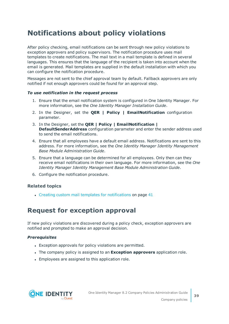## <span id="page-38-0"></span>**Notifications about policy violations**

After policy checking, email notifications can be sent through new policy violations to exception approvers and policy supervisors. The notification procedure uses mail templates to create notifications. The mail text in a mail template is defined in several languages. This ensures that the language of the recipient is taken into account when the email is generated. Mail templates are supplied in the default installation with which you can configure the notification procedure.

Messages are not sent to the chief approval team by default. Fallback approvers are only notified if not enough approvers could be found for an approval step.

### *To use notification in the request process*

- 1. Ensure that the email notification system is configured in One Identity Manager. For more information, see the *One Identity Manager Installation Guide*.
- 2. In the Designer, set the **QER | Policy | EmailNotification** configuration parameter.
- 3. In the Designer, set the **QER | Policy | EmailNotification | DefaultSenderAddress** configuration parameter and enter the sender address used to send the email notifications.
- 4. Ensure that all employees have a default email address. Notifications are sent to this address. For more information, see the *One Identity Manager Identity Management Base Module Administration Guide*.
- 5. Ensure that a language can be determined for all employees. Only then can they receive email notifications in their own language. For more information, see the *One Identity Manager Identity Management Base Module Administration Guide*.
- 6. Configure the notification procedure.

### **Related topics**

 $\cdot$  Creating custom mail templates for [notifications](#page-40-1) on page 41

### <span id="page-38-1"></span>**Request for exception approval**

If new policy violations are discovered during a policy check, exception approvers are notified and prompted to make an approval decision.

### *Prerequisites*

- Exception approvals for policy violations are permitted.
- <sup>l</sup> The company policy is assigned to an **Exception approvers** application role.
- Employees are assigned to this application role.

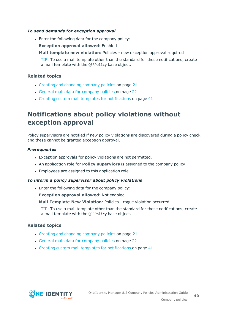#### *To send demands for exception approval*

• Enter the following data for the company policy:

**Exception approval allowed**: Enabled

**Mail template new violation**: Policies - new exception approval required

TIP: To use a mail template other than the standard for these notifications, create a mail template with the QERPolicy base object.

### **Related topics**

- Creating and changing [company](#page-20-1) policies on page 21
- General main data for [company](#page-21-0) policies on page 22
- Creating custom mail templates for [notifications](#page-40-1) on page 41

## <span id="page-39-0"></span>**Notifications about policy violations without exception approval**

Policy supervisors are notified if new policy violations are discovered during a policy check and these cannot be granted exception approval.

#### *Prerequisites*

- Exception approvals for policy violations are not permitted.
- <sup>l</sup> An application role for **Policy superviors** is assigned to the company policy.
- Employees are assigned to this application role.

### *To inform a policy supervisor about policy violations*

• Enter the following data for the company policy:

**Exception approval allowed**: Not enabled

**Mail Template New Violation**: Policies - rogue violation occurred

TIP: To use a mail template other than the standard for these notifications, create a mail template with the QERPolicy base object.

### **Related topics**

- $\cdot$  Creating and changing [company](#page-20-1) policies on page 21
- General main data for [company](#page-21-0) policies on page 22
- $\cdot$  Creating custom mail templates for [notifications](#page-40-1) on page 41

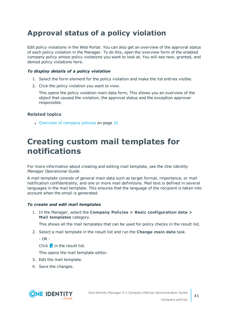## <span id="page-40-0"></span>**Approval status of a policy violation**

Edit policy violations in the Web Portal. You can also get an overview of the approval status of each policy violation in the Manager. To do this, open the overview form of the enabled company policy whose policy violations you want to look at. You will see new, granted, and denied policy violations here.

### *To display details of a policy violation*

- 1. Select the form element for the policy violation and make the list entries visible.
- 2. Click the policy violation you want to view.

This opens the policy violation main data form, This shows you an overview of the object that caused the violation, the approval status and the exception approver responsible.

### **Related topics**

• [Overview](#page-31-2) of company policies on page 32

## <span id="page-40-1"></span>**Creating custom mail templates for notifications**

For more information about creating and editing mail template, see the *One Identity Manager Operational Guide*.

A mail template consists of general main data such as target format, importance, or mail notification confidentiality, and one or more mail definitions. Mail text is defined in several languages in the mail template. This ensures that the language of the recipient is taken into account when the email is generated.

### *To create and edit mail templates*

1. In the Manager, select the **Company Policies > Basic configuration data > Mail templates** category.

This shows all the mail templates that can be used for policy checks in the result list.

- 2. Select a mail template in the result list and run the **Change main data** task.
	- $-$  OR  $-$

Click  $\pm$  in the result list.

This opens the mail template editor.

- 3. Edit the mail template.
- 4. Save the changes.

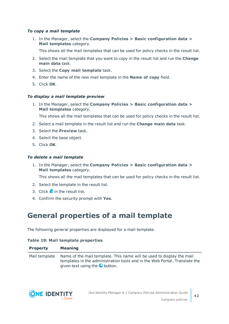### *To copy a mail template*

1. In the Manager, select the **Company Policies > Basic configuration data > Mail templates** category.

This shows all the mail templates that can be used for policy checks in the result list.

- 2. Select the mail template that you want to copy in the result list and run the **Change main data** task.
- 3. Select the **Copy mail template** task.
- 4. Enter the name of the new mail template in the **Name of copy** field.
- 5. Click **OK**.

#### *To display a mail template preview*

1. In the Manager, select the **Company Policies > Basic configuration data > Mail templates** category.

This shows all the mail templates that can be used for policy checks in the result list.

- 2. Select a mail template in the result list and run the **Change main data** task.
- 3. Select the **Preview** task.
- 4. Select the base object.
- 5. Click **OK**.

#### *To delete a mail template*

1. In the Manager, select the **Company Policies > Basic configuration data > Mail templates** category.

This shows all the mail templates that can be used for policy checks in the result list.

- 2. Select the template in the result list.
- 3. Click  $\mathbf{\hat{i}}$  in the result list.
- <span id="page-41-0"></span>4. Confirm the security prompt with **Yes**.

## **General properties of a mail template**

The following general properties are displayed for a mail template.

#### **Table 19: Mail template properties**

| <b>Property</b> | <b>Meaning</b>                                                                                                                                                                                             |
|-----------------|------------------------------------------------------------------------------------------------------------------------------------------------------------------------------------------------------------|
|                 | Mail template Name of the mail template. This name will be used to display the mail<br>templates in the administration tools and in the Web Portal. Translate the<br>given text using the <b>O</b> button. |

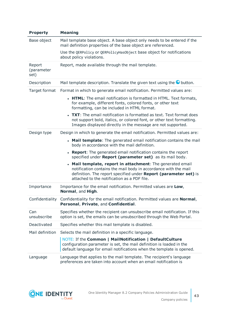| <b>Property</b>              | <b>Meaning</b>                                                                                                                                                                                                                                   |
|------------------------------|--------------------------------------------------------------------------------------------------------------------------------------------------------------------------------------------------------------------------------------------------|
| Base object                  | Mail template base object. A base object only needs to be entered if the<br>mail definition properties of the base object are referenced.                                                                                                        |
|                              | Use the QERPolicy or QERPolicyHasObject base object for notifications<br>about policy violations.                                                                                                                                                |
| Report<br>(parameter<br>set) | Report, made available through the mail template.                                                                                                                                                                                                |
| Description                  | Mail template description. Translate the given text using the $\bullet$ button.                                                                                                                                                                  |
| Target format                | Format in which to generate email notification. Permitted values are:                                                                                                                                                                            |
|                              | • HTML: The email notification is formatted in HTML. Text formats,<br>for example, different fonts, colored fonts, or other text<br>formatting, can be included in HTML format.                                                                  |
|                              | • TXT: The email notification is formatted as text. Text format does<br>not support bold, italics, or colored font, or other text formatting.<br>Images displayed directly in the message are not supported.                                     |
| Design type                  | Design in which to generate the email notification. Permitted values are:                                                                                                                                                                        |
|                              | • Mail template: The generated email notification contains the mail<br>body in accordance with the mail definition.                                                                                                                              |
|                              | <b>Report:</b> The generated email notification contains the report<br>specified under Report (parameter set) as its mail body.                                                                                                                  |
|                              | • Mail template, report in attachment: The generated email<br>notification contains the mail body in accordance with the mail<br>definition. The report specified under Report (parameter set) is<br>attached to the notification as a PDF file. |
| Importance                   | Importance for the email notification. Permitted values are Low,<br>Normal, and High.                                                                                                                                                            |
| Confidentiality              | Confidentiality for the email notification. Permitted values are Normal,<br>Personal, Private, and Confidential.                                                                                                                                 |
| Can<br>unsubscribe           | Specifies whether the recipient can unsubscribe email notification. If this<br>option is set, the emails can be unsubscribed through the Web Portal.                                                                                             |
| Deactivated                  | Specifies whether this mail template is disabled.                                                                                                                                                                                                |
| Mail definition              | Selects the mail definition in a specific language.                                                                                                                                                                                              |
|                              | NOTE: If the Common   MailNotification   DefaultCulture<br>configuration parameter is set, the mail definition is loaded in the<br>default language for email notifications when the template is opened.                                         |
| Language                     | Language that applies to the mail template. The recipient's language<br>preferences are taken into account when an email notification is                                                                                                         |

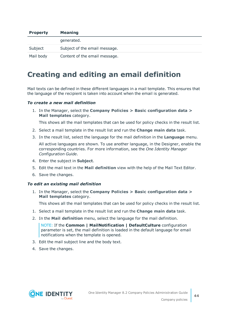| <b>Property</b> | <b>Meaning</b>                |
|-----------------|-------------------------------|
|                 | generated.                    |
| Subject         | Subject of the email message. |
| Mail body       | Content of the email message. |

## <span id="page-43-0"></span>**Creating and editing an email definition**

Mail texts can be defined in these different languages in a mail template. This ensures that the language of the recipient is taken into account when the email is generated.

#### *To create a new mail definition*

1. In the Manager, select the **Company Policies > Basic configuration data > Mail templates** category.

This shows all the mail templates that can be used for policy checks in the result list.

- 2. Select a mail template in the result list and run the **Change main data** task.
- 3. In the result list, select the language for the mail definition in the **Language** menu.

All active languages are shown. To use another language, in the Designer, enable the corresponding countries. For more information, see the *One Identity Manager Configuration Guide*.

- 4. Enter the subject in **Subject**.
- 5. Edit the mail text in the **Mail definition** view with the help of the Mail Text Editor.
- 6. Save the changes.

#### *To edit an existing mail definition*

1. In the Manager, select the **Company Policies > Basic configuration data > Mail templates** category.

This shows all the mail templates that can be used for policy checks in the result list.

- 1. Select a mail template in the result list and run the **Change main data** task.
- 2. In the **Mail definition** menu, select the language for the mail definition.

NOTE: If the **Common | MailNotification | DefaultCulture** configuration parameter is set, the mail definition is loaded in the default language for email notifications when the template is opened.

- 3. Edit the mail subject line and the body text.
- 4. Save the changes.

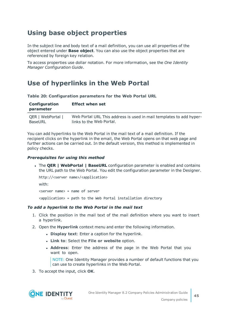## <span id="page-44-0"></span>**Using base object properties**

In the subject line and body text of a mail definition, you can use all properties of the object entered under **Base object**. You can also use the object properties that are referenced by foreign key relation.

To access properties use dollar notation. For more information, see the *One Identity Manager Configuration Guide*.

## <span id="page-44-1"></span>**Use of hyperlinks in the Web Portal**

**Table 20: Configuration parameters for the Web Portal URL**

| Configuration<br>parameter | <b>Effect when set</b>                                              |
|----------------------------|---------------------------------------------------------------------|
| QER   WebPortal            | Web Portal URL This address is used in mail templates to add hyper- |
| BaseURL                    | links to the Web Portal.                                            |

You can add hyperlinks to the Web Portal in the mail text of a mail definition. If the recipient clicks on the hyperlink in the email, the Web Portal opens on that web page and further actions can be carried out. In the default version, this method is implemented in policy checks.

### *Prerequisites for using this method*

<sup>l</sup> The **QER | WebPortal | BaseURL** configuration parameter is enabled and contains the URL path to the Web Portal. You edit the configuration parameter in the Designer.

```
http://<server name>/<application>
with:
<server name> = name of server
```
<application> = path to the Web Portal installation directory

### *To add a hyperlink to the Web Portal in the mail text*

- 1. Click the position in the mail text of the mail definition where you want to insert a hyperlink.
- 2. Open the **Hyperlink** context menu and enter the following information.
	- **.** Display text: Enter a caption for the hyperlink.
	- <sup>l</sup> **Link to**: Select the **File or website** option.
	- **. Address:** Enter the address of the page in the Web Portal that you want to open.

NOTE: One Identity Manager provides a number of default functions that you can use to create hyperlinks in the Web Portal.

3. To accept the input, click **OK**.

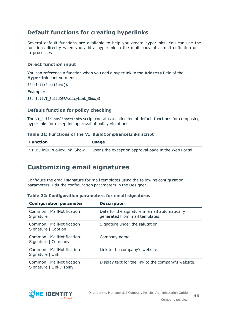### **Default functions for creating hyperlinks**

Several default functions are available to help you create hyperlinks. You can use the functions directly when you add a hyperlink in the mail body of a mail definition or in processes

### **Direct function input**

You can reference a function when you add a hyperlink in the **Address** field of the **Hyperlink** context menu.

```
$Script(<Function>)$
Example:
$Script(VI_BuildQERPolicyLink_Show)$
```
### **Default function for policy checking**

The VI\_BuildComplianceLinks script contains a collection of default functions for composing hyperlinks for exception approval of policy violations.

#### **Table 21: Functions of the VI\_BuildComplianceLinks script**

| <b>Function</b>            | <b>Usage</b>                                         |
|----------------------------|------------------------------------------------------|
| VI BuildQERPolicyLink Show | Opens the exception approval page in the Web Portal. |

### <span id="page-45-0"></span>**Customizing email signatures**

Configure the email signature for mail templates using the following configuration parameters. Edit the configuration parameters in the Designer.

|  |  | Table 22: Configuration parameters for email signatures |  |  |  |  |
|--|--|---------------------------------------------------------|--|--|--|--|
|--|--|---------------------------------------------------------|--|--|--|--|

| <b>Configuration parameter</b>                         | <b>Description</b>                                                              |
|--------------------------------------------------------|---------------------------------------------------------------------------------|
| Common   MailNotification  <br>Signature               | Data for the signature in email automatically<br>generated from mail templates. |
| Common   MailNotification  <br>Signature   Caption     | Signature under the salutation.                                                 |
| Common   MailNotification  <br>Signature   Company     | Company name.                                                                   |
| Common   MailNotification  <br>Signature   Link        | Link to the company's website.                                                  |
| Common   MailNotification  <br>Signature   LinkDisplay | Display text for the link to the company's website.                             |

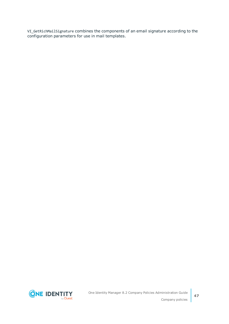VI\_GetRichMailSignature combines the components of an email signature according to the configuration parameters for use in mail templates.

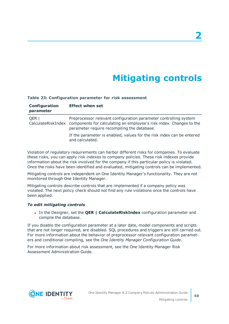# **Mitigating controls**

#### <span id="page-47-0"></span>**Table 23: Configuration parameter for risk assessment**

| Configuration<br>parameter | <b>Effect when set</b>                                                                                                                                                                                    |
|----------------------------|-----------------------------------------------------------------------------------------------------------------------------------------------------------------------------------------------------------|
| QER                        | Preprocessor relevant configuration parameter controlling system<br>CalculateRiskIndex components for calculating an employee's risk index. Changes to the<br>parameter require recompiling the database. |
|                            | If the parameter is enabled, values for the risk index can be entered<br>and calculated.                                                                                                                  |

Violation of regulatory requirements can harbor different risks for companies. To evaluate these risks, you can apply risk indexes to company policies. These risk indexes provide information about the risk involved for the company if this particular policy is violated. Once the risks have been identified and evaluated, mitigating controls can be implemented.

Mitigating controls are independent on One Identity Manager's functionality. They are not monitored through One Identity Manager.

Mitigating controls describe controls that are implemented if a company policy was violated. The next policy check should not find any rule violations once the controls have been applied.

#### *To edit mitigating controls*

<sup>l</sup> In the Designer, set the **QER | CalculateRiskIndex** configuration parameter and compile the database.

If you disable the configuration parameter at a later date, model components and scripts that are not longer required, are disabled. SQL procedures and triggers are still carried out. For more information about the behavior of preprocessor relevant configuration parameters and conditional compiling, see the *One Identity Manager Configuration Guide*.

For more information about risk assessment, see the One Identity Manager Risk Assessment Administration Guide.

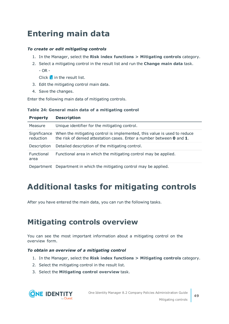# <span id="page-48-0"></span>**Entering main data**

### *To create or edit mitigating controls*

- 1. In the Manager, select the **Risk index functions > Mitigating controls** category.
- 2. Select a mitigating control in the result list and run the **Change main data** task.  $-$  OR  $-$

Click  $\mathbf{r}$  in the result list.

- 3. Edit the mitigating control main data.
- 4. Save the changes.

Enter the following main data of mitigating controls.

### **Table 24: General main data of a mitigating control**

| <b>Property</b>           | <b>Description</b>                                                                                                                                       |
|---------------------------|----------------------------------------------------------------------------------------------------------------------------------------------------------|
| Measure                   | Unique identifier for the mitigating control.                                                                                                            |
| Significance<br>reduction | When the mitigating control is implemented, this value is used to reduce<br>the risk of denied attestation cases. Enter a number between <b>0</b> and 1. |
| Description               | Detailed description of the mitigating control.                                                                                                          |
| Functional<br>area        | Functional area in which the mitigating control may be applied.                                                                                          |
| Department                | Department in which the mitigating control may be applied.                                                                                               |

# <span id="page-48-1"></span>**Additional tasks for mitigating controls**

After you have entered the main data, you can run the following tasks.

## <span id="page-48-2"></span>**Mitigating controls overview**

You can see the most important information about a mitigating control on the overview form.

### *To obtain an overview of a mitigating control*

- 1. In the Manager, select the **Risk index functions > Mitigating controls** category.
- 2. Select the mitigating control in the result list.
- 3. Select the **Mitigating control overview** task.

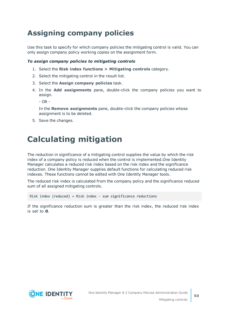## <span id="page-49-0"></span>**Assigning company policies**

Use this task to specify for which company policies the mitigating control is valid. You can only assign company policy working copies on the assignment form.

### *To assign company policies to mitigating controls*

- 1. Select the **Risk index functions > Mitigating controls** category.
- 2. Select the mitigating control in the result list.
- 3. Select the **Assign company policies** task.
- 4. In the **Add assignments** pane, double-click the company policies you want to assign.

 $- OR -$ 

In the **Remove assignments** pane, double-click the company policies whose assignment is to be deleted.

<span id="page-49-1"></span>5. Save the changes.

# **Calculating mitigation**

The reduction in significance of a mitigating control supplies the value by which the risk index of a company policy is reduced when the control is implemented.One Identity Manager calculates a reduced risk index based on the risk index and the significance reduction. One Identity Manager supplies default functions for calculating reduced risk indexes. These functions cannot be edited with One Identity Manager tools.

The reduced risk index is calculated from the company policy and the significance reduced sum of all assigned mitigating controls.

Risk index (reduced) = Risk index - sum significance reductions

If the significance reduction sum is greater than the risk index, the reduced risk index is set to **0**.

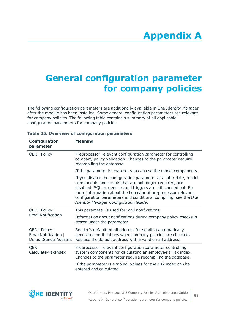# <span id="page-50-0"></span>**Appendix:General configuration parameter for company policies**

The following configuration parameters are additionally available in One Identity Manager after the module has been installed. Some general configuration parameters are relevant for company policies. The following table contains a summary of all applicable configuration parameters for company policies.

| Configuration<br>parameter                                           | <b>Meaning</b>                                                                                                                                                                                                                                                                                                                                                                |
|----------------------------------------------------------------------|-------------------------------------------------------------------------------------------------------------------------------------------------------------------------------------------------------------------------------------------------------------------------------------------------------------------------------------------------------------------------------|
| QER   Policy                                                         | Preprocessor relevant configuration parameter for controlling<br>company policy validation. Changes to the parameter require<br>recompiling the database.                                                                                                                                                                                                                     |
|                                                                      | If the parameter is enabled, you can use the model components.                                                                                                                                                                                                                                                                                                                |
|                                                                      | If you disable the configuration parameter at a later date, model<br>components and scripts that are not longer required, are<br>disabled. SQL procedures and triggers are still carried out. For<br>more information about the behavior of preprocessor relevant<br>configuration parameters and conditional compiling, see the One<br>Identity Manager Configuration Guide. |
| QER   Policy  <br>EmailNotification                                  | This parameter is used for mail notifications.                                                                                                                                                                                                                                                                                                                                |
|                                                                      | Information about notifications during company policy checks is<br>stored under the parameter.                                                                                                                                                                                                                                                                                |
| QER   Policy  <br>EmailNotification  <br><b>DefaultSenderAddress</b> | Sender's default email address for sending automatically<br>generated notifications when company policies are checked.<br>Replace the default address with a valid email address.                                                                                                                                                                                             |
| QER  <br>CalculateRiskIndex                                          | Preprocessor relevant configuration parameter controlling<br>system components for calculating an employee's risk index.<br>Changes to the parameter require recompiling the database.                                                                                                                                                                                        |
|                                                                      | If the parameter is enabled, values for the risk index can be<br>entered and calculated.                                                                                                                                                                                                                                                                                      |

#### **Table 25: Overview of configuration parameters**

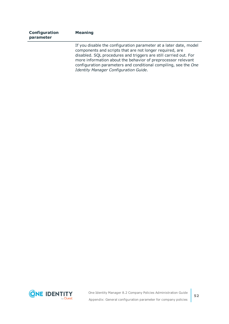| Configuration<br>parameter | <b>Meaning</b>                                                                                                                                                                                                                                                                                                                                                                |
|----------------------------|-------------------------------------------------------------------------------------------------------------------------------------------------------------------------------------------------------------------------------------------------------------------------------------------------------------------------------------------------------------------------------|
|                            | If you disable the configuration parameter at a later date, model<br>components and scripts that are not longer required, are<br>disabled. SQL procedures and triggers are still carried out. For<br>more information about the behavior of preprocessor relevant<br>configuration parameters and conditional compiling, see the One<br>Identity Manager Configuration Guide. |

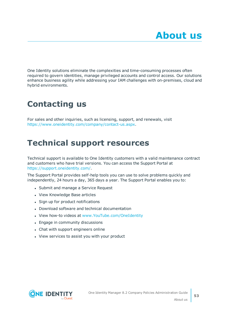<span id="page-52-0"></span>One Identity solutions eliminate the complexities and time-consuming processes often required to govern identities, manage privileged accounts and control access. Our solutions enhance business agility while addressing your IAM challenges with on-premises, cloud and hybrid environments.

# <span id="page-52-1"></span>**Contacting us**

For sales and other inquiries, such as licensing, support, and renewals, visit <https://www.oneidentity.com/company/contact-us.aspx>.

# <span id="page-52-2"></span>**Technical support resources**

Technical support is available to One Identity customers with a valid maintenance contract and customers who have trial versions. You can access the Support Portal at [https://support.oneidentity.com/.](https://support.oneidentity.com/)

The Support Portal provides self-help tools you can use to solve problems quickly and independently, 24 hours a day, 365 days a year. The Support Portal enables you to:

- Submit and manage a Service Request
- View Knowledge Base articles
- Sign up for product notifications
- Download software and technical documentation
- View how-to videos at [www.YouTube.com/OneIdentity](http://www.youtube.com/OneIdentity)
- Engage in community discussions
- Chat with support engineers online
- View services to assist you with your product

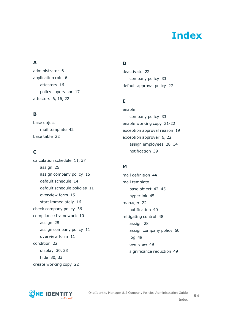# **Index**

### <span id="page-53-0"></span>**A**

administrator [6](#page-5-0) application role [6](#page-5-0) attestors [16](#page-15-0) policy supervisor [17](#page-16-0) attestors [6](#page-5-0), [16](#page-15-0), [22](#page-21-0)

### **B**

base object mail template [42](#page-41-0) base table [22](#page-21-0)

### **C**

calculation schedule [11](#page-10-0), [37](#page-36-0) assign [26](#page-25-0) assign company policy [15](#page-14-0) default schedule [14](#page-13-0) default schedule policies [11](#page-10-0) overview form [15](#page-14-1) start immediately [16](#page-15-1) check company policy [36](#page-35-2) compliance framework [10](#page-9-0) assign [28](#page-27-0) assign company policy [11](#page-10-1) overview form [11](#page-10-2) condition [22](#page-21-0) display [30,](#page-29-1) [33](#page-32-1) hide [30](#page-29-1), [33](#page-32-1) create working copy [22](#page-21-1)

### **D**

deactivate [22](#page-21-0) company policy [33](#page-32-0) default approval policy [27](#page-26-0)

### **E**

enable company policy [33](#page-32-0) enable working copy [21-22](#page-20-2) exception approval reason [19](#page-18-0) exception approver [6,](#page-5-0) [22](#page-21-0) assign employees [28](#page-27-1), [34](#page-33-0) notification [39](#page-38-1)

### **M**

mail definition [44](#page-43-0) mail template base object [42,](#page-41-0) [45](#page-44-0) hyperlink [45](#page-44-1) manager [22](#page-21-0) notification [40](#page-39-0) mitigating control [48](#page-47-0) assign [28](#page-27-2) assign company policy [50](#page-49-0) log [49](#page-48-0) overview [49](#page-48-2) significance reduction [49](#page-48-0)